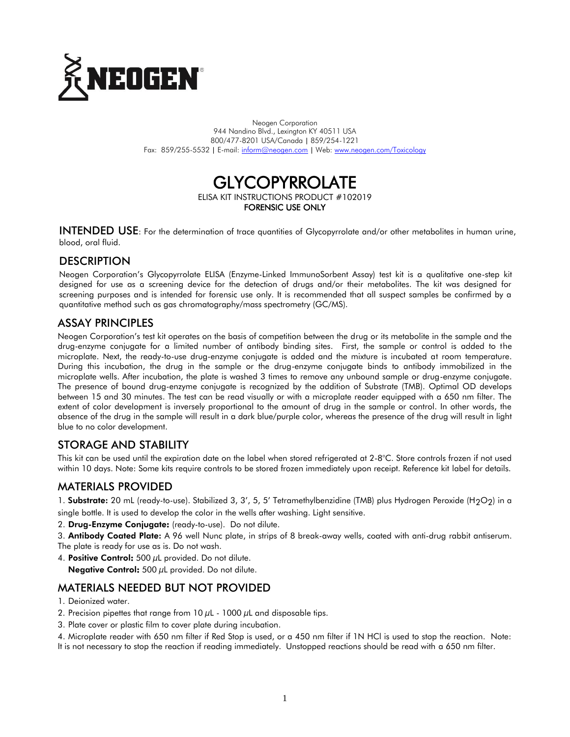

Neogen Corporation 944 Nandino Blvd., Lexington KY 40511 USA 800/477-8201 USA/Canada | 859/254-1221 Fax: 859/255-5532 | E-mail[: inform@neogen.com](mailto:inform@neogen.com) | Web[: www.neogen.com/Toxicology](http://www.neogen.com/Toxicology)

## **GLYCOPYRROLATE** ELISA KIT INSTRUCTIONS PRODUCT #102019 FORENSIC USE ONLY

INTENDED USE: For the determination of trace quantities of Glycopyrrolate and/or other metabolites in human urine, blood, oral fluid.

#### **DESCRIPTION**

Neogen Corporation's Glycopyrrolate ELISA (Enzyme-Linked ImmunoSorbent Assay) test kit is a qualitative one-step kit designed for use as a screening device for the detection of drugs and/or their metabolites. The kit was designed for screening purposes and is intended for forensic use only. It is recommended that all suspect samples be confirmed by a quantitative method such as gas chromatography/mass spectrometry (GC/MS).

## ASSAY PRINCIPLES

Neogen Corporation's test kit operates on the basis of competition between the drug or its metabolite in the sample and the drug-enzyme conjugate for a limited number of antibody binding sites. First, the sample or control is added to the microplate. Next, the ready-to-use drug-enzyme conjugate is added and the mixture is incubated at room temperature. During this incubation, the drug in the sample or the drug-enzyme conjugate binds to antibody immobilized in the microplate wells. After incubation, the plate is washed 3 times to remove any unbound sample or drug-enzyme conjugate. The presence of bound drug-enzyme conjugate is recognized by the addition of Substrate (TMB). Optimal OD develops between 15 and 30 minutes. The test can be read visually or with a microplate reader equipped with a 650 nm filter. The extent of color development is inversely proportional to the amount of drug in the sample or control. In other words, the absence of the drug in the sample will result in a dark blue/purple color, whereas the presence of the drug will result in light blue to no color development.

## STORAGE AND STABILITY

This kit can be used until the expiration date on the label when stored refrigerated at 2-8°C. Store controls frozen if not used within 10 days. Note: Some kits require controls to be stored frozen immediately upon receipt. Reference kit label for details.

## MATERIALS PROVIDED

1. Substrate: 20 mL (ready-to-use). Stabilized 3, 3', 5, 5' Tetramethylbenzidine (TMB) plus Hydrogen Peroxide (H<sub>2</sub>O<sub>2</sub>) in a

single bottle. It is used to develop the color in the wells after washing. Light sensitive.

- 2. Drug-Enzyme Conjugate: (ready-to-use). Do not dilute.
- 3. Antibody Coated Plate: A 96 well Nunc plate, in strips of 8 break-away wells, coated with anti-drug rabbit antiserum. The plate is ready for use as is. Do not wash.
- 4. Positive Control:  $500 \mu L$  provided. Do not dilute.

Negative Control: 500 µL provided. Do not dilute.

## MATERIALS NEEDED BUT NOT PROVIDED

- 1. Deionized water.
- 2. Precision pipettes that range from 10  $\mu$ L 1000  $\mu$ L and disposable tips.
- 3. Plate cover or plastic film to cover plate during incubation.

4. Microplate reader with 650 nm filter if Red Stop is used, or a 450 nm filter if 1N HCl is used to stop the reaction. Note:

It is not necessary to stop the reaction if reading immediately. Unstopped reactions should be read with a 650 nm filter.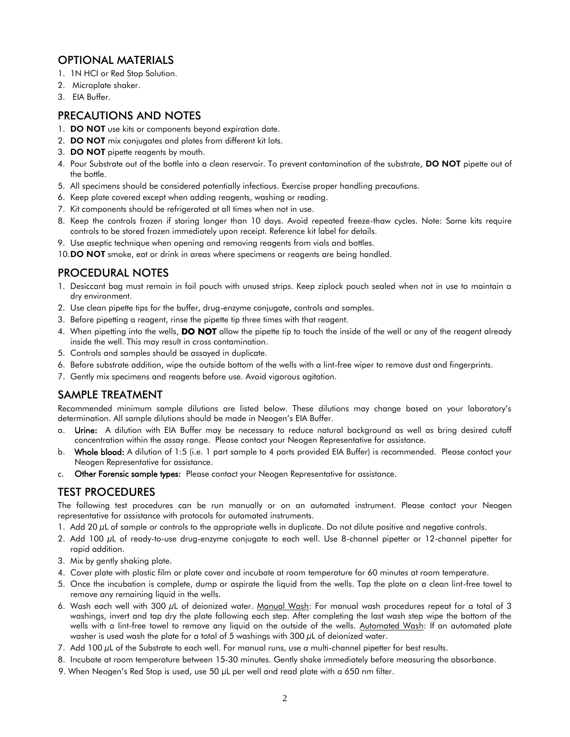## OPTIONAL MATERIALS

- 1. 1N HCI or Red Stop Solution.
- 2. Microplate shaker.
- 3. EIA Buffer.

## PRECAUTIONS AND NOTES

- 1. **DO NOT** use kits or components beyond expiration date.
- 2. **DO NOT** mix conjugates and plates from different kit lots.
- 3. DO NOT pipette reagents by mouth.
- 4. Pour Substrate out of the bottle into a clean reservoir. To prevent contamination of the substrate, DO NOT pipette out of the bottle.
- 5. All specimens should be considered potentially infectious. Exercise proper handling precautions.
- 6. Keep plate covered except when adding reagents, washing or reading.
- 7. Kit components should be refrigerated at all times when not in use.
- 8. Keep the controls frozen if storing longer than 10 days. Avoid repeated freeze-thaw cycles. Note: Some kits require controls to be stored frozen immediately upon receipt. Reference kit label for details.
- 9. Use aseptic technique when opening and removing reagents from vials and bottles.
- 10.DO NOT smoke, eat or drink in areas where specimens or reagents are being handled.

## PROCEDURAL NOTES

- 1. Desiccant bag must remain in foil pouch with unused strips. Keep ziplock pouch sealed when not in use to maintain a dry environment.
- 2. Use clean pipette tips for the buffer, drug-enzyme conjugate, controls and samples.
- 3. Before pipetting a reagent, rinse the pipette tip three times with that reagent.
- 4. When pipetting into the wells, **DO NOT** allow the pipette tip to touch the inside of the well or any of the reagent already inside the well. This may result in cross contamination.
- 5. Controls and samples should be assayed in duplicate.
- 6. Before substrate addition, wipe the outside bottom of the wells with a lint-free wiper to remove dust and fingerprints.
- 7. Gently mix specimens and reagents before use. Avoid vigorous agitation.

# SAMPLE TREATMENT

Recommended minimum sample dilutions are listed below. These dilutions may change based on your laboratory's determination. All sample dilutions should be made in Neogen's EIA Buffer.

- a. Urine: A dilution with EIA Buffer may be necessary to reduce natural background as well as bring desired cutoff concentration within the assay range. Please contact your Neogen Representative for assistance.
- b. Whole blood: A dilution of 1:5 (i.e. 1 part sample to 4 parts provided EIA Buffer) is recommended. Please contact your Neogen Representative for assistance.
- c. Other Forensic sample types: Please contact your Neogen Representative for assistance.

## TEST PROCEDURES

The following test procedures can be run manually or on an automated instrument. Please contact your Neogen representative for assistance with protocols for automated instruments.

- 1. Add 20  $\mu$ L of sample or controls to the appropriate wells in duplicate. Do not dilute positive and negative controls.
- 2. Add 100 µL of ready-to-use drug-enzyme conjugate to each well. Use 8-channel pipetter or 12-channel pipetter for rapid addition.
- 3. Mix by gently shaking plate.
- 4. Cover plate with plastic film or plate cover and incubate at room temperature for 60 minutes at room temperature.
- 5. Once the incubation is complete, dump or aspirate the liquid from the wells. Tap the plate on a clean lint-free towel to remove any remaining liquid in the wells.
- 6. Wash each well with 300 µL of deionized water. Manual Wash: For manual wash procedures repeat for a total of 3 washings, invert and tap dry the plate following each step. After completing the last wash step wipe the bottom of the wells with a lint-free towel to remove any liquid on the outside of the wells. Automated Wash: If an automated plate washer is used wash the plate for a total of 5 washings with  $300 \mu$ L of deionized water.
- 7. Add 100 µL of the Substrate to each well. For manual runs, use a multi-channel pipetter for best results.
- 8. Incubate at room temperature between 15-30 minutes. Gently shake immediately before measuring the absorbance.
- 9. When Neogen's Red Stop is used, use 50 µL per well and read plate with a 650 nm filter.